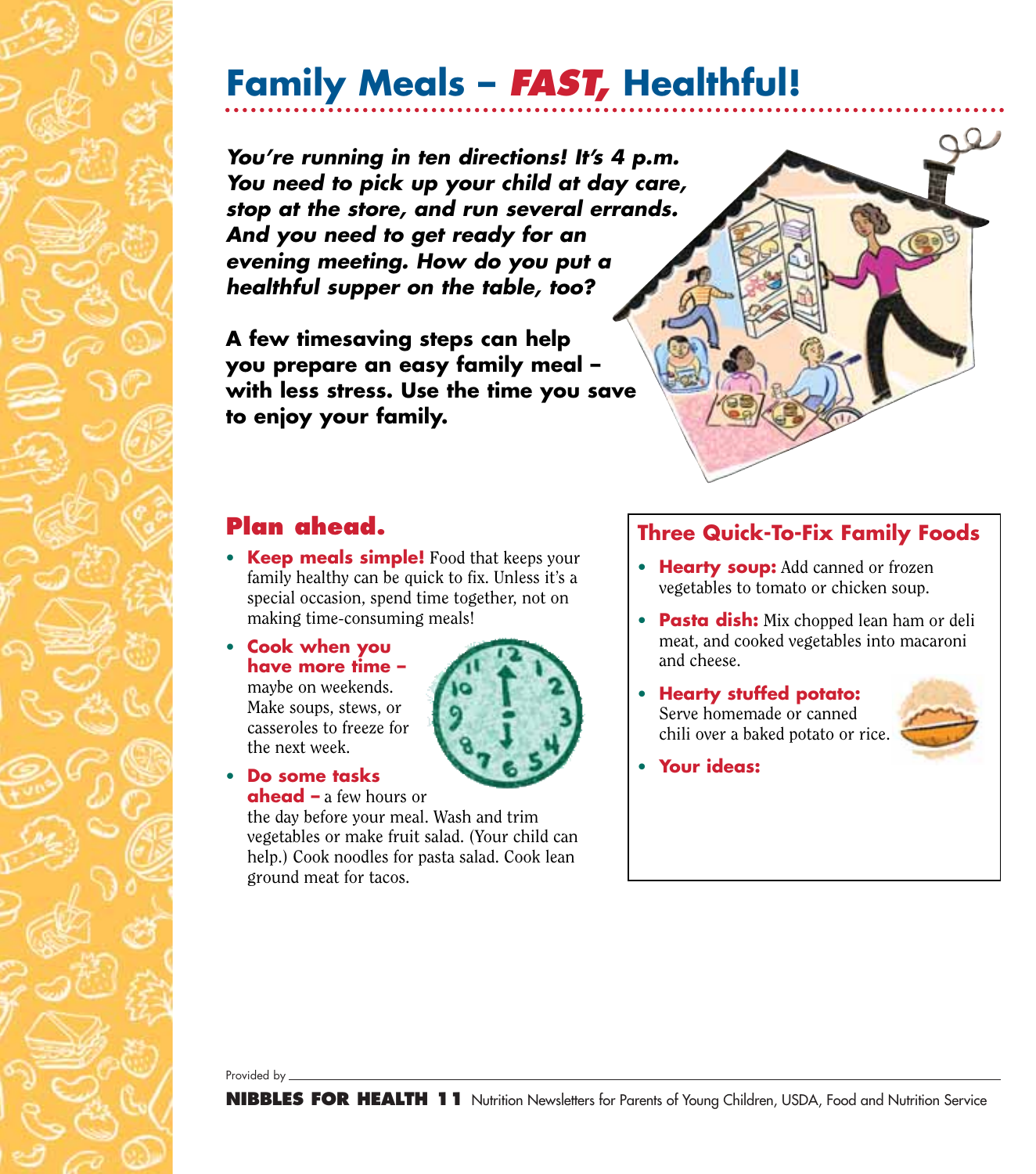# **Family Meals –** *FAST,* **Healthful!**

*You're running in ten directions! It's 4 p.m. You need to pick up your child at day care, stop at the store, and run several errands. And you need to get ready for an evening meeting. How do you put a healthful supper on the table, too?*

**A few timesaving steps can help you prepare an easy family meal – with less stress. Use the time you save to enjoy your family.**



### **Plan ahead.**

- **Keep meals simple!** Food that keeps your family healthy can be quick to fix. Unless it's a special occasion, spend time together, not on making time-consuming meals!
- **Cook when you have more time –** maybe on weekends. Make soups, stews, or casseroles to freeze for the next week.



#### • **Do some tasks ahead –** a few hours or

the day before your meal. Wash and trim vegetables or make fruit salad. (Your child can help.) Cook noodles for pasta salad. Cook lean ground meat for tacos.

### **Three Quick-To-Fix Family Foods**

- **Hearty soup:** Add canned or frozen vegetables to tomato or chicken soup.
- **Pasta dish:** Mix chopped lean ham or deli meat, and cooked vegetables into macaroni and cheese.
- **Hearty stuffed potato:** Serve homemade or canned chili over a baked potato or rice.



• **Your ideas:**